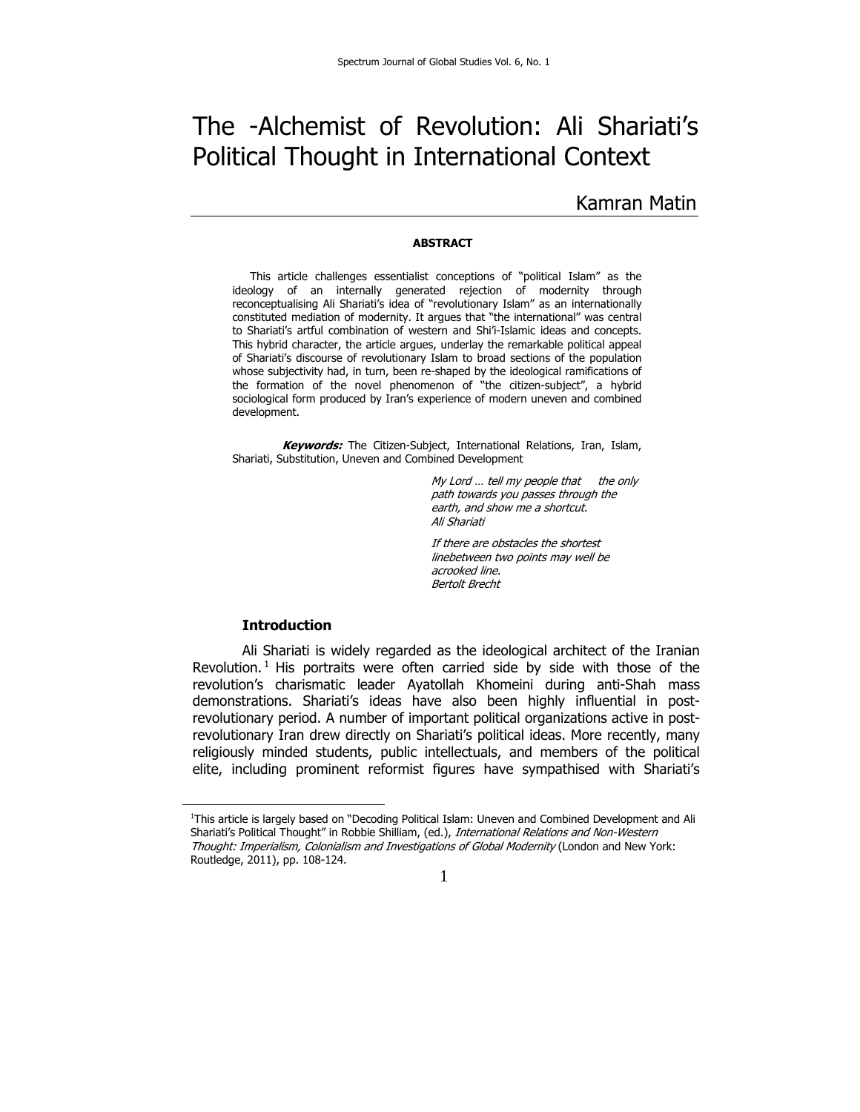# The -Alchemist of Revolution: Ali Shariati's Political Thought in International Context

## Kamran Matin

#### **ABSTRACT**

 This article challenges essentialist conceptions of "political Islam" as the ideology of an internally generated rejection of modernity through reconceptualising Ali Shariati's idea of "revolutionary Islam" as an internationally constituted mediation of modernity. It argues that "the international" was central to Shariati's artful combination of western and Shi'i-Islamic ideas and concepts. This hybrid character, the article argues, underlay the remarkable political appeal of Shariati's discourse of revolutionary Islam to broad sections of the population whose subjectivity had, in turn, been re-shaped by the ideological ramifications of the formation of the novel phenomenon of "the citizen-subject", a hybrid sociological form produced by Iran's experience of modern uneven and combined development.

**Keywords:** The Citizen-Subject, International Relations, Iran, Islam, Shariati, Substitution, Uneven and Combined Development

> My Lord ... tell my people that the only path towards you passes through the earth, and show me a shortcut. Ali Shariati

If there are obstacles the shortest linebetween two points may well be acrooked line. Bertolt Brecht

#### **Introduction**

Ali Shariati is widely regarded as the ideological architect of the Iranian Revolution.<sup>1</sup> His portraits were often carried side by side with those of the revolution's charismatic leader Ayatollah Khomeini during anti-Shah mass demonstrations. Shariati's ideas have also been highly influential in postrevolutionary period. A number of important political organizations active in postrevolutionary Iran drew directly on Shariati's political ideas. More recently, many religiously minded students, public intellectuals, and members of the political elite, including prominent reformist figures have sympathised with Shariati's

<sup>1</sup> This article is largely based on "Decoding Political Islam: Uneven and Combined Development and Ali Shariati's Political Thought" in Robbie Shilliam, (ed.), International Relations and Non-Western Thought: Imperialism, Colonialism and Investigations of Global Modernity (London and New York: Routledge, 2011), pp. 108-124.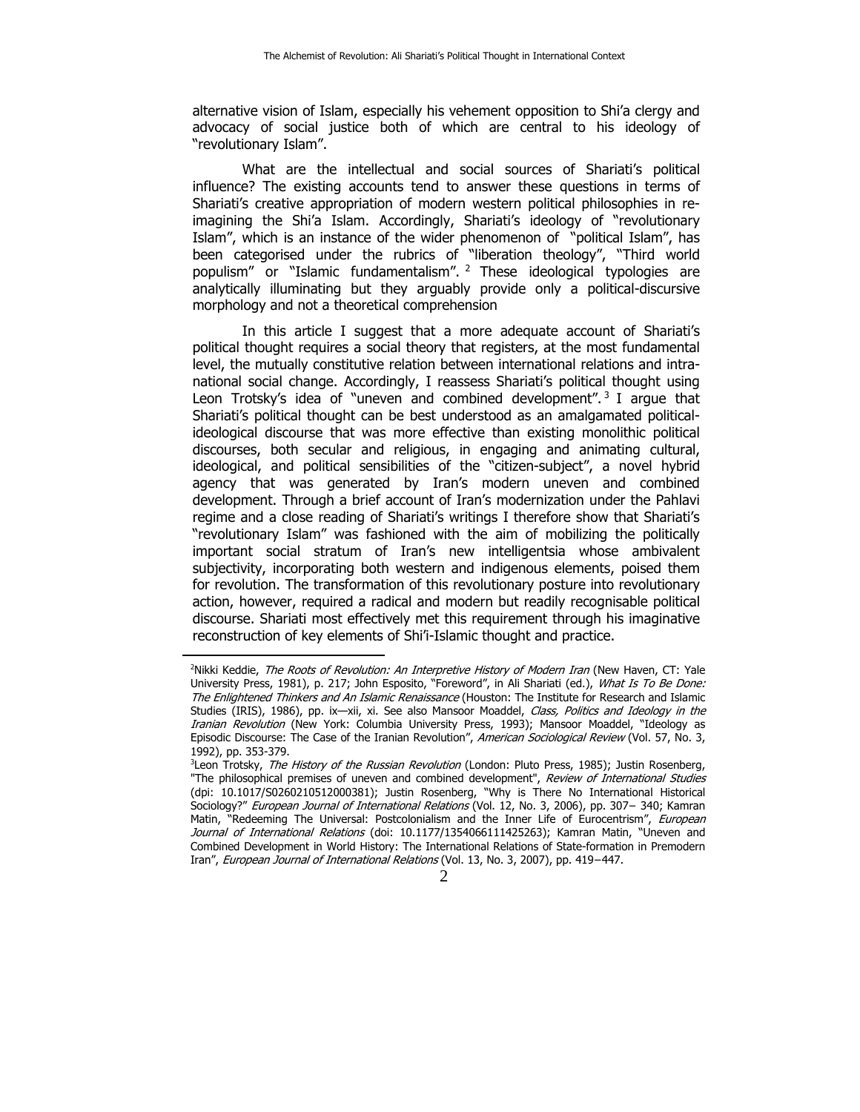alternative vision of Islam, especially his vehement opposition to Shi'a clergy and advocacy of social justice both of which are central to his ideology of "revolutionary Islam".

What are the intellectual and social sources of Shariati's political influence? The existing accounts tend to answer these questions in terms of Shariati's creative appropriation of modern western political philosophies in reimagining the Shi'a Islam. Accordingly, Shariati's ideology of "revolutionary Islam", which is an instance of the wider phenomenon of "political Islam", has been categorised under the rubrics of "liberation theology", "Third world populism" or "Islamic fundamentalism". 2 These ideological typologies are analytically illuminating but they arguably provide only a political-discursive morphology and not a theoretical comprehension

In this article I suggest that a more adequate account of Shariati's political thought requires a social theory that registers, at the most fundamental level, the mutually constitutive relation between international relations and intranational social change. Accordingly, I reassess Shariati's political thought using Leon Trotsky's idea of "uneven and combined development".<sup>3</sup> I arque that Shariati's political thought can be best understood as an amalgamated politicalideological discourse that was more effective than existing monolithic political discourses, both secular and religious, in engaging and animating cultural, ideological, and political sensibilities of the "citizen-subject", a novel hybrid agency that was generated by Iran's modern uneven and combined development. Through a brief account of Iran's modernization under the Pahlavi regime and a close reading of Shariati's writings I therefore show that Shariati's "revolutionary Islam" was fashioned with the aim of mobilizing the politically important social stratum of Iran's new intelligentsia whose ambivalent subjectivity, incorporating both western and indigenous elements, poised them for revolution. The transformation of this revolutionary posture into revolutionary action, however, required a radical and modern but readily recognisable political discourse. Shariati most effectively met this requirement through his imaginative reconstruction of key elements of Shi'i-Islamic thought and practice.

 $\mathcal{D}$ 

<sup>&</sup>lt;sup>2</sup>Nikki Keddie, *The Roots of Revolution: An Interpretive History of Modern Iran* (New Haven, CT: Yale University Press, 1981), p. 217; John Esposito, "Foreword", in Ali Shariati (ed.), What Is To Be Done: The Enlightened Thinkers and An Islamic Renaissance (Houston: The Institute for Research and Islamic Studies (IRIS), 1986), pp. ix-xii, xi. See also Mansoor Moaddel, Class, Politics and Ideology in the Iranian Revolution (New York: Columbia University Press, 1993); Mansoor Moaddel, "Ideology as Episodic Discourse: The Case of the Iranian Revolution", American Sociological Review (Vol. 57, No. 3, 1992), pp. 353-379.

<sup>&</sup>lt;sup>3</sup>Leon Trotsky, *The History of the Russian Revolution* (London: Pluto Press, 1985); Justin Rosenberg, "The philosophical premises of uneven and combined development", Review of International Studies (dpi: 10.1017/S0260210512000381); Justin Rosenberg, "Why is There No International Historical Sociology?" European Journal of International Relations (Vol. 12, No. 3, 2006), pp. 307− 340; Kamran Matin, "Redeeming The Universal: Postcolonialism and the Inner Life of Eurocentrism", European Journal of International Relations (doi: 10.1177/1354066111425263); Kamran Matin, "Uneven and Combined Development in World History: The International Relations of State-formation in Premodern Iran", European Journal of International Relations (Vol. 13, No. 3, 2007), pp. 419−447.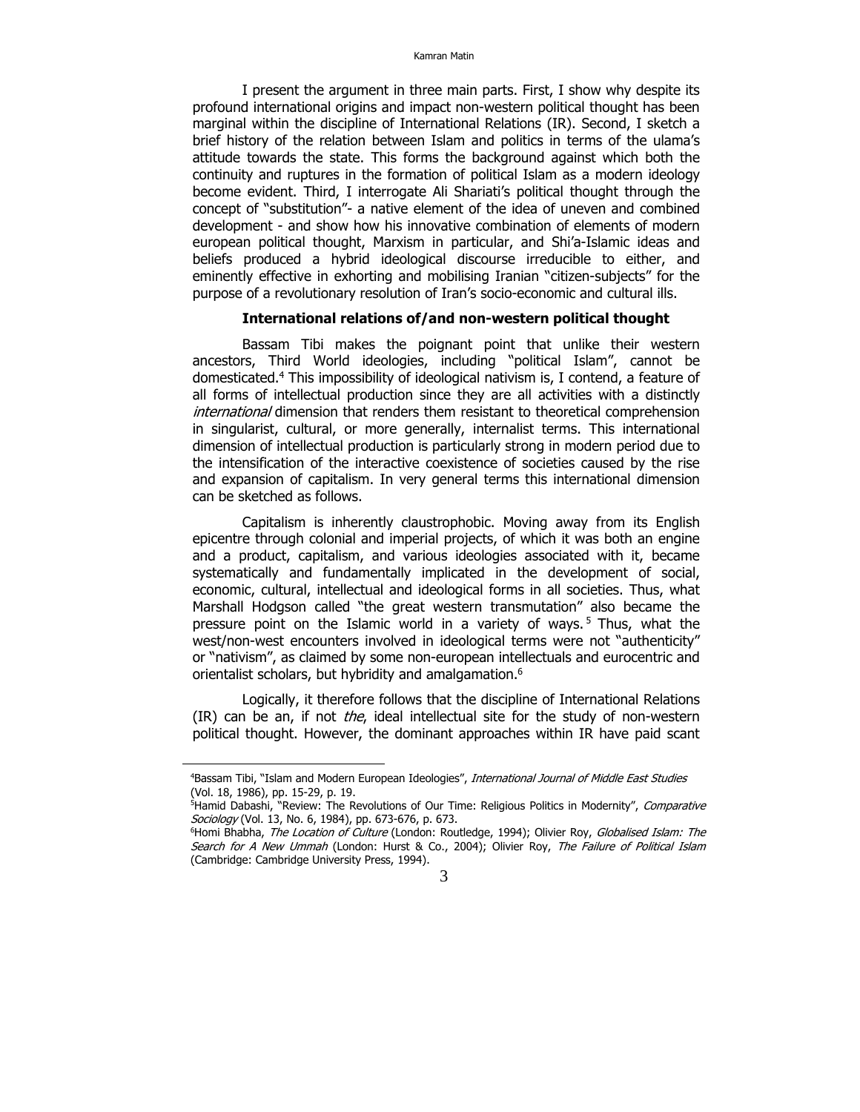I present the argument in three main parts. First, I show why despite its profound international origins and impact non-western political thought has been marginal within the discipline of International Relations (IR). Second, I sketch a brief history of the relation between Islam and politics in terms of the ulama's attitude towards the state. This forms the background against which both the continuity and ruptures in the formation of political Islam as a modern ideology become evident. Third, I interrogate Ali Shariati's political thought through the concept of "substitution"- a native element of the idea of uneven and combined development - and show how his innovative combination of elements of modern european political thought, Marxism in particular, and Shi'a-Islamic ideas and beliefs produced a hybrid ideological discourse irreducible to either, and eminently effective in exhorting and mobilising Iranian "citizen-subjects" for the purpose of a revolutionary resolution of Iran's socio-economic and cultural ills.

#### **International relations of/and non-western political thought**

Bassam Tibi makes the poignant point that unlike their western ancestors, Third World ideologies, including "political Islam", cannot be domesticated.4 This impossibility of ideological nativism is, I contend, a feature of all forms of intellectual production since they are all activities with a distinctly *international* dimension that renders them resistant to theoretical comprehension in singularist, cultural, or more generally, internalist terms. This international dimension of intellectual production is particularly strong in modern period due to the intensification of the interactive coexistence of societies caused by the rise and expansion of capitalism. In very general terms this international dimension can be sketched as follows.

Capitalism is inherently claustrophobic. Moving away from its English epicentre through colonial and imperial projects, of which it was both an engine and a product, capitalism, and various ideologies associated with it, became systematically and fundamentally implicated in the development of social, economic, cultural, intellectual and ideological forms in all societies. Thus, what Marshall Hodgson called "the great western transmutation" also became the pressure point on the Islamic world in a variety of ways.<sup>5</sup> Thus, what the west/non-west encounters involved in ideological terms were not "authenticity" or "nativism", as claimed by some non-european intellectuals and eurocentric and orientalist scholars, but hybridity and amalgamation.<sup>6</sup>

Logically, it therefore follows that the discipline of International Relations  $(IR)$  can be an, if not *the*, ideal intellectual site for the study of non-western political thought. However, the dominant approaches within IR have paid scant

<sup>&</sup>lt;sup>4</sup>Bassam Tibi, "Islam and Modern European Ideologies", International Journal of Middle East Studies (Vol. 18, 1986), pp. 15-29, p. 19.

<sup>&</sup>lt;sup>5</sup>Hamid Dabashi, "Review: The Revolutions of Our Time: Religious Politics in Modernity", Comparative Sociology (Vol. 13, No. 6, 1984), pp. 673-676, p. 673.

<sup>&</sup>lt;sup>6</sup>Homi Bhabha, The Location of Culture (London: Routledge, 1994); Olivier Roy, Globalised Islam: The Search for A New Ummah (London: Hurst & Co., 2004); Olivier Roy, The Failure of Political Islam (Cambridge: Cambridge University Press, 1994).

<sup>3</sup>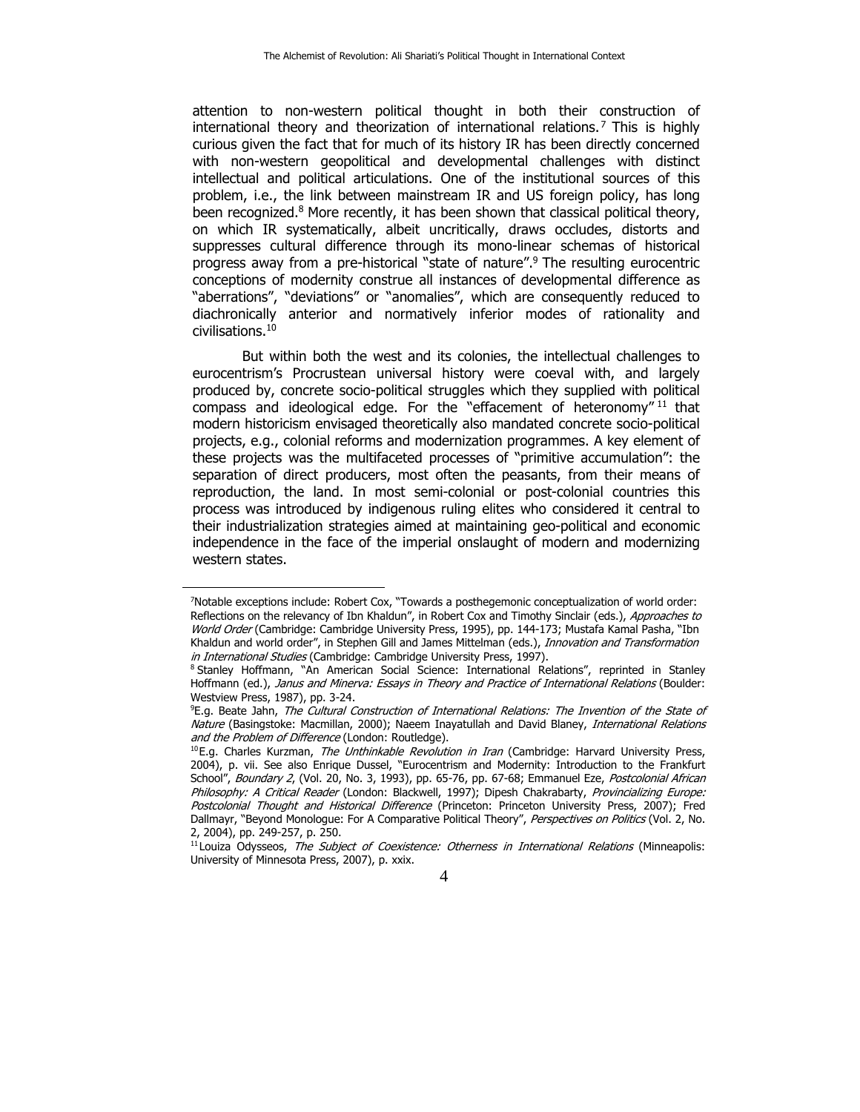attention to non-western political thought in both their construction of international theory and theorization of international relations.<sup>7</sup> This is highly curious given the fact that for much of its history IR has been directly concerned with non-western geopolitical and developmental challenges with distinct intellectual and political articulations. One of the institutional sources of this problem, i.e., the link between mainstream IR and US foreign policy, has long been recognized.8 More recently, it has been shown that classical political theory, on which IR systematically, albeit uncritically, draws occludes, distorts and suppresses cultural difference through its mono-linear schemas of historical progress away from a pre-historical "state of nature".9 The resulting eurocentric conceptions of modernity construe all instances of developmental difference as "aberrations", "deviations" or "anomalies", which are consequently reduced to diachronically anterior and normatively inferior modes of rationality and civilisations.10

But within both the west and its colonies, the intellectual challenges to eurocentrism's Procrustean universal history were coeval with, and largely produced by, concrete socio-political struggles which they supplied with political compass and ideological edge. For the "effacement of heteronomy" 11 that modern historicism envisaged theoretically also mandated concrete socio-political projects, e.g., colonial reforms and modernization programmes. A key element of these projects was the multifaceted processes of "primitive accumulation": the separation of direct producers, most often the peasants, from their means of reproduction, the land. In most semi-colonial or post-colonial countries this process was introduced by indigenous ruling elites who considered it central to their industrialization strategies aimed at maintaining geo-political and economic independence in the face of the imperial onslaught of modern and modernizing western states.

<sup>7</sup> Notable exceptions include: Robert Cox, "Towards a posthegemonic conceptualization of world order: Reflections on the relevancy of Ibn Khaldun", in Robert Cox and Timothy Sinclair (eds.), Approaches to World Order (Cambridge: Cambridge University Press, 1995), pp. 144-173; Mustafa Kamal Pasha, "Ibn Khaldun and world order", in Stephen Gill and James Mittelman (eds.), *Innovation and Transformation*<br>*in International Studies* (Cambridge: Cambridge University Press, 1997).

<sup>&</sup>lt;sup>8</sup> Stanley Hoffmann, "An American Social Science: International Relations", reprinted in Stanley Hoffmann (ed.), Janus and Minerva: Essays in Theory and Practice of International Relations (Boulder: Westview Press, 1987), pp. 3-24.

<sup>&</sup>lt;sup>9</sup>E.g. Beate Jahn, *The Cultural Construction of International Relations: The Invention of the State of* Nature (Basingstoke: Macmillan, 2000); Naeem Inayatullah and David Blaney, International Relations and the Problem of Difference (London: Routledge).<br><sup>10</sup>E.g. Charles Kurzman, *The Unthinkable Revolution in Iran* (Cambridge: Harvard University Press,

<sup>2004),</sup> p. vii. See also Enrique Dussel, "Eurocentrism and Modernity: Introduction to the Frankfurt School", Boundary 2, (Vol. 20, No. 3, 1993), pp. 65-76, pp. 67-68; Emmanuel Eze, Postcolonial African Philosophy: A Critical Reader (London: Blackwell, 1997); Dipesh Chakrabarty, Provincializing Europe: Postcolonial Thought and Historical Difference (Princeton: Princeton University Press, 2007); Fred Dallmayr, "Beyond Monologue: For A Comparative Political Theory", Perspectives on Politics (Vol. 2, No. 2, 2004), pp. 249-257, p. 250.

<sup>&</sup>lt;sup>11</sup> Louiza Odysseos, The Subject of Coexistence: Otherness in International Relations (Minneapolis: University of Minnesota Press, 2007), p. xxix.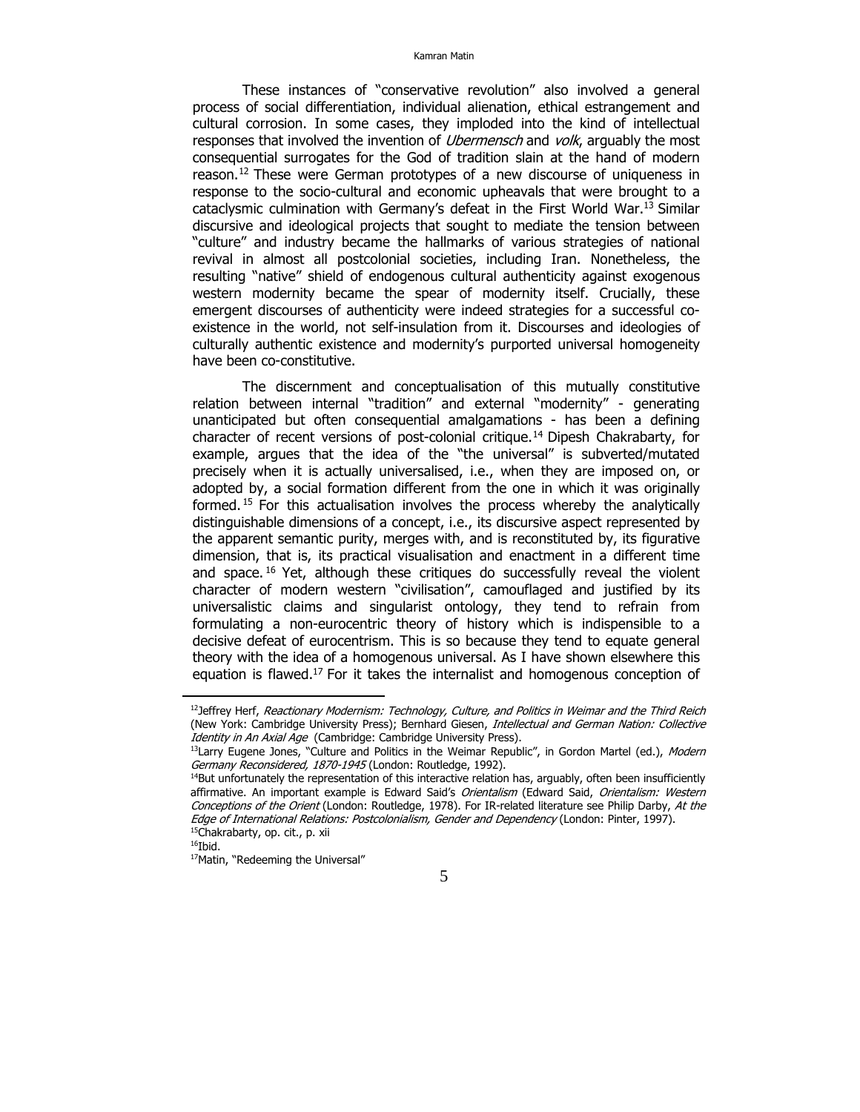These instances of "conservative revolution" also involved a general process of social differentiation, individual alienation, ethical estrangement and cultural corrosion. In some cases, they imploded into the kind of intellectual responses that involved the invention of *Ubermensch* and *volk*, arguably the most consequential surrogates for the God of tradition slain at the hand of modern reason.<sup>12</sup> These were German prototypes of a new discourse of uniqueness in response to the socio-cultural and economic upheavals that were brought to a cataclysmic culmination with Germany's defeat in the First World War.13 Similar discursive and ideological projects that sought to mediate the tension between "culture" and industry became the hallmarks of various strategies of national revival in almost all postcolonial societies, including Iran. Nonetheless, the resulting "native" shield of endogenous cultural authenticity against exogenous western modernity became the spear of modernity itself. Crucially, these emergent discourses of authenticity were indeed strategies for a successful coexistence in the world, not self-insulation from it. Discourses and ideologies of culturally authentic existence and modernity's purported universal homogeneity have been co-constitutive.

The discernment and conceptualisation of this mutually constitutive relation between internal "tradition" and external "modernity" - generating unanticipated but often consequential amalgamations - has been a defining character of recent versions of post-colonial critique.14 Dipesh Chakrabarty, for example, argues that the idea of the "the universal" is subverted/mutated precisely when it is actually universalised, i.e., when they are imposed on, or adopted by, a social formation different from the one in which it was originally formed. 15 For this actualisation involves the process whereby the analytically distinguishable dimensions of a concept, i.e., its discursive aspect represented by the apparent semantic purity, merges with, and is reconstituted by, its figurative dimension, that is, its practical visualisation and enactment in a different time and space.  $16$  Yet, although these critiques do successfully reveal the violent character of modern western "civilisation", camouflaged and justified by its universalistic claims and singularist ontology, they tend to refrain from formulating a non-eurocentric theory of history which is indispensible to a decisive defeat of eurocentrism. This is so because they tend to equate general theory with the idea of a homogenous universal. As I have shown elsewhere this equation is flawed.<sup>17</sup> For it takes the internalist and homogenous conception of

<sup>&</sup>lt;sup>12</sup>Jeffrey Herf, Reactionary Modernism: Technology, Culture, and Politics in Weimar and the Third Reich (New York: Cambridge University Press); Bernhard Giesen, Intellectual and German Nation: Collective

Identity in An Axial Age (Cambridge: Cambridge University Press).<br><sup>13</sup>Larry Eugene Jones, "Culture and Politics in the Weimar Republic", in Gordon Martel (ed.), *Modern<br>Germany Reconsidered, 1870-1945* (London: Routledge,

 $14$ But unfortunately the representation of this interactive relation has, arguably, often been insufficiently affirmative. An important example is Edward Said's Orientalism (Edward Said, Orientalism: Western Conceptions of the Orient (London: Routledge, 1978). For IR-related literature see Philip Darby, At the Edge of International Relations: Postcolonialism, Gender and Dependency (London: Pinter, 1997).<br><sup>15</sup>Chakrabarty, op. cit., p. xii

 $16$ Ibid.

<sup>17</sup>Matin, "Redeeming the Universal"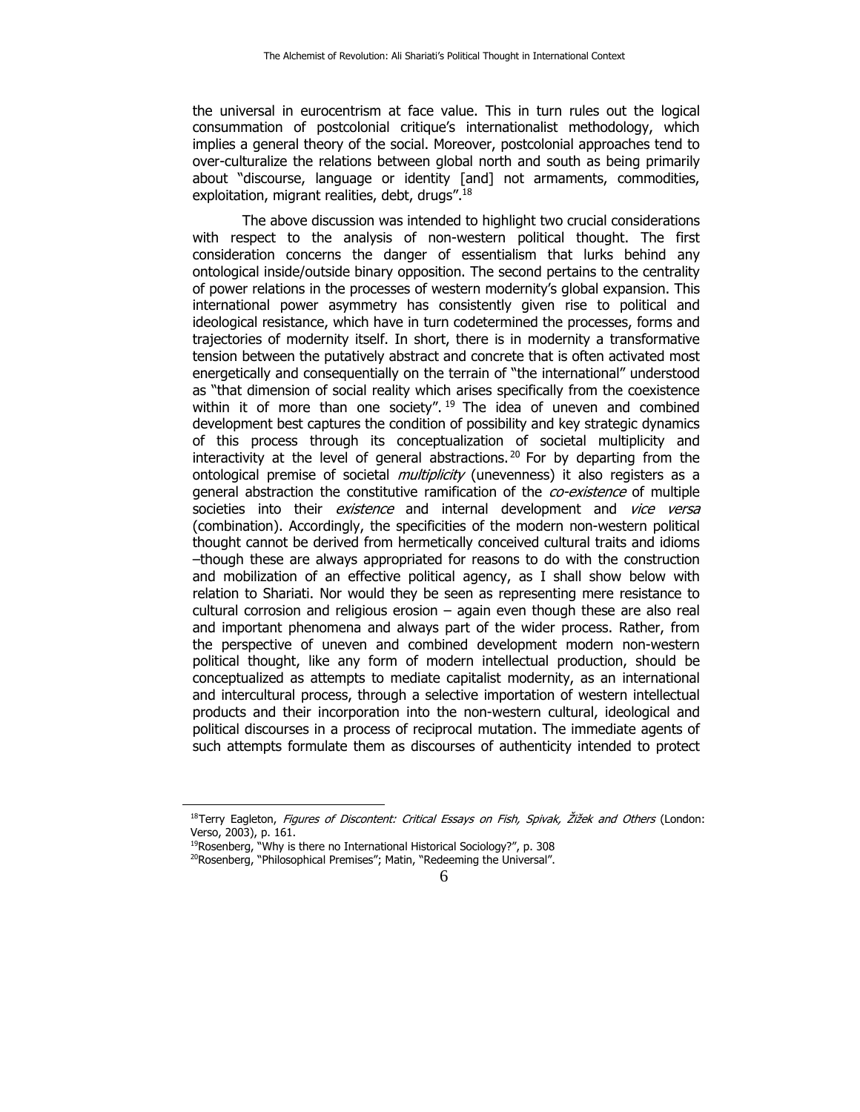the universal in eurocentrism at face value. This in turn rules out the logical consummation of postcolonial critique's internationalist methodology, which implies a general theory of the social. Moreover, postcolonial approaches tend to over-culturalize the relations between global north and south as being primarily about "discourse, language or identity [and] not armaments, commodities, exploitation, migrant realities, debt, drugs".<sup>18</sup>

The above discussion was intended to highlight two crucial considerations with respect to the analysis of non-western political thought. The first consideration concerns the danger of essentialism that lurks behind any ontological inside/outside binary opposition. The second pertains to the centrality of power relations in the processes of western modernity's global expansion. This international power asymmetry has consistently given rise to political and ideological resistance, which have in turn codetermined the processes, forms and trajectories of modernity itself. In short, there is in modernity a transformative tension between the putatively abstract and concrete that is often activated most energetically and consequentially on the terrain of "the international" understood as "that dimension of social reality which arises specifically from the coexistence within it of more than one society".<sup>19</sup> The idea of uneven and combined development best captures the condition of possibility and key strategic dynamics of this process through its conceptualization of societal multiplicity and interactivity at the level of general abstractions. 20 For by departing from the ontological premise of societal *multiplicity* (unevenness) it also registers as a general abstraction the constitutive ramification of the *co-existence* of multiple societies into their existence and internal development and vice versa (combination). Accordingly, the specificities of the modern non-western political thought cannot be derived from hermetically conceived cultural traits and idioms –though these are always appropriated for reasons to do with the construction and mobilization of an effective political agency, as I shall show below with relation to Shariati. Nor would they be seen as representing mere resistance to cultural corrosion and religious erosion – again even though these are also real and important phenomena and always part of the wider process. Rather, from the perspective of uneven and combined development modern non-western political thought, like any form of modern intellectual production, should be conceptualized as attempts to mediate capitalist modernity, as an international and intercultural process, through a selective importation of western intellectual products and their incorporation into the non-western cultural, ideological and political discourses in a process of reciprocal mutation. The immediate agents of such attempts formulate them as discourses of authenticity intended to protect

<sup>&</sup>lt;sup>18</sup>Terry Eagleton, *Figures of Discontent: Critical Essays on Fish, Spivak, Žižek and Others* (London: Verso, 2003), p. 161.

<sup>&</sup>lt;sup>19</sup>Rosenberg, "Why is there no International Historical Sociology?", p. 308  $^{20}$ Rosenberg, "Philosophical Premises"; Matin, "Redeeming the Universal".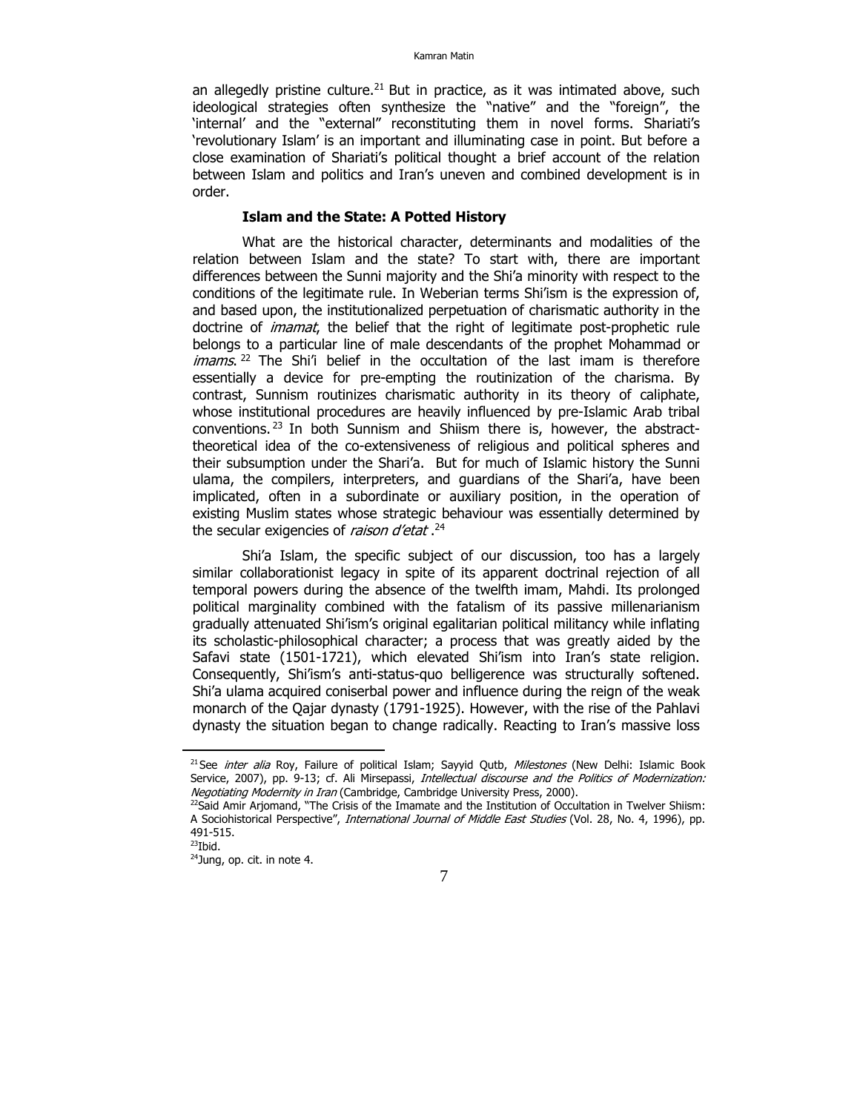an allegedly pristine culture.<sup>21</sup> But in practice, as it was intimated above, such ideological strategies often synthesize the "native" and the "foreign", the 'internal' and the "external" reconstituting them in novel forms. Shariati's 'revolutionary Islam' is an important and illuminating case in point. But before a close examination of Shariati's political thought a brief account of the relation between Islam and politics and Iran's uneven and combined development is in order.

## **Islam and the State: A Potted History**

What are the historical character, determinants and modalities of the relation between Islam and the state? To start with, there are important differences between the Sunni majority and the Shi'a minority with respect to the conditions of the legitimate rule. In Weberian terms Shi'ism is the expression of, and based upon, the institutionalized perpetuation of charismatic authority in the doctrine of *imamat*, the belief that the right of legitimate post-prophetic rule belongs to a particular line of male descendants of the prophet Mohammad or  $imams$ . <sup>22</sup> The Shi'i belief in the occultation of the last imam is therefore essentially a device for pre-empting the routinization of the charisma. By contrast, Sunnism routinizes charismatic authority in its theory of caliphate, whose institutional procedures are heavily influenced by pre-Islamic Arab tribal conventions. 23 In both Sunnism and Shiism there is, however, the abstracttheoretical idea of the co-extensiveness of religious and political spheres and their subsumption under the Shari'a. But for much of Islamic history the Sunni ulama, the compilers, interpreters, and guardians of the Shari'a, have been implicated, often in a subordinate or auxiliary position, in the operation of existing Muslim states whose strategic behaviour was essentially determined by the secular exigencies of *raison d'etat* .<sup>24</sup>

Shi'a Islam, the specific subject of our discussion, too has a largely similar collaborationist legacy in spite of its apparent doctrinal rejection of all temporal powers during the absence of the twelfth imam, Mahdi. Its prolonged political marginality combined with the fatalism of its passive millenarianism gradually attenuated Shi'ism's original egalitarian political militancy while inflating its scholastic-philosophical character; a process that was greatly aided by the Safavi state (1501-1721), which elevated Shi'ism into Iran's state religion. Consequently, Shi'ism's anti-status-quo belligerence was structurally softened. Shi'a ulama acquired coniserbal power and influence during the reign of the weak monarch of the Qajar dynasty (1791-1925). However, with the rise of the Pahlavi dynasty the situation began to change radically. Reacting to Iran's massive loss

<sup>&</sup>lt;sup>21</sup> See *inter alia* Roy, Failure of political Islam; Sayyid Qutb, Milestones (New Delhi: Islamic Book Service, 2007), pp. 9-13; cf. Ali Mirsepassi, *Intellectual discourse and the Politics of Modernization:* Negotiating Modernity in Iran (Cambridge, Cambridge University Press, 2000).<br><sup>22</sup>Said Amir Arjomand, "The Crisis of the Imamate and the Institution of Occultation in Twelver Shiism:

A Sociohistorical Perspective", International Journal of Middle East Studies (Vol. 28, No. 4, 1996), pp. 491-515.

 $23$ Ibid.

<sup>24</sup>Jung, op. cit. in note 4.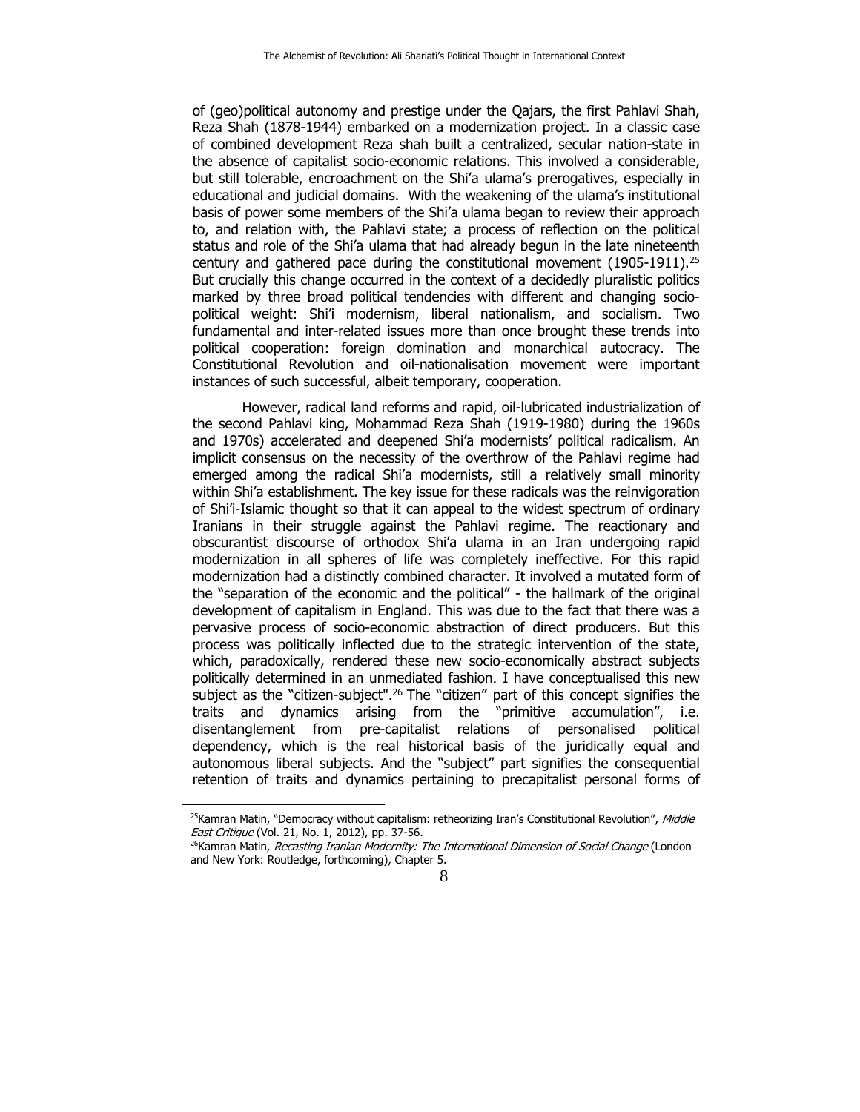of (geo)political autonomy and prestige under the Qajars, the first Pahlavi Shah, Reza Shah (1878-1944) embarked on a modernization project. In a classic case of combined development Reza shah built a centralized, secular nation-state in the absence of capitalist socio-economic relations. This involved a considerable, but still tolerable, encroachment on the Shi'a ulama's prerogatives, especially in educational and judicial domains. With the weakening of the ulama's institutional basis of power some members of the Shi'a ulama began to review their approach to, and relation with, the Pahlavi state; a process of reflection on the political status and role of the Shi'a ulama that had already begun in the late nineteenth century and gathered pace during the constitutional movement  $(1905-1911).^{25}$ But crucially this change occurred in the context of a decidedly pluralistic politics marked by three broad political tendencies with different and changing sociopolitical weight: Shi'i modernism, liberal nationalism, and socialism. Two fundamental and inter-related issues more than once brought these trends into political cooperation: foreign domination and monarchical autocracy. The Constitutional Revolution and oil-nationalisation movement were important instances of such successful, albeit temporary, cooperation.

However, radical land reforms and rapid, oil-lubricated industrialization of the second Pahlavi king, Mohammad Reza Shah (1919-1980) during the 1960s and 1970s) accelerated and deepened Shi'a modernists' political radicalism. An implicit consensus on the necessity of the overthrow of the Pahlavi regime had emerged among the radical Shi'a modernists, still a relatively small minority within Shi'a establishment. The key issue for these radicals was the reinvigoration of Shi'i-Islamic thought so that it can appeal to the widest spectrum of ordinary Iranians in their struggle against the Pahlavi regime. The reactionary and obscurantist discourse of orthodox Shi'a ulama in an Iran undergoing rapid modernization in all spheres of life was completely ineffective. For this rapid modernization had a distinctly combined character. It involved a mutated form of the "separation of the economic and the political" - the hallmark of the original development of capitalism in England. This was due to the fact that there was a pervasive process of socio-economic abstraction of direct producers. But this process was politically inflected due to the strategic intervention of the state, which, paradoxically, rendered these new socio-economically abstract subjects politically determined in an unmediated fashion. I have conceptualised this new subject as the "citizen-subject".<sup>26</sup> The "citizen" part of this concept signifies the traits and dynamics arising from the "primitive accumulation", i.e. disentanglement from pre-capitalist relations of personalised political dependency, which is the real historical basis of the juridically equal and autonomous liberal subjects. And the "subject" part signifies the consequential retention of traits and dynamics pertaining to precapitalist personal forms of

<sup>&</sup>lt;sup>25</sup>Kamran Matin, "Democracy without capitalism: retheorizing Iran's Constitutional Revolution", Middle East Critique (Vol. 21, No. 1, 2012), pp. 37-56.<br><sup>26</sup>Kamran Matin, *Recasting Iranian Modernity: The International Dimension of Social Change* (London

and New York: Routledge, forthcoming), Chapter 5.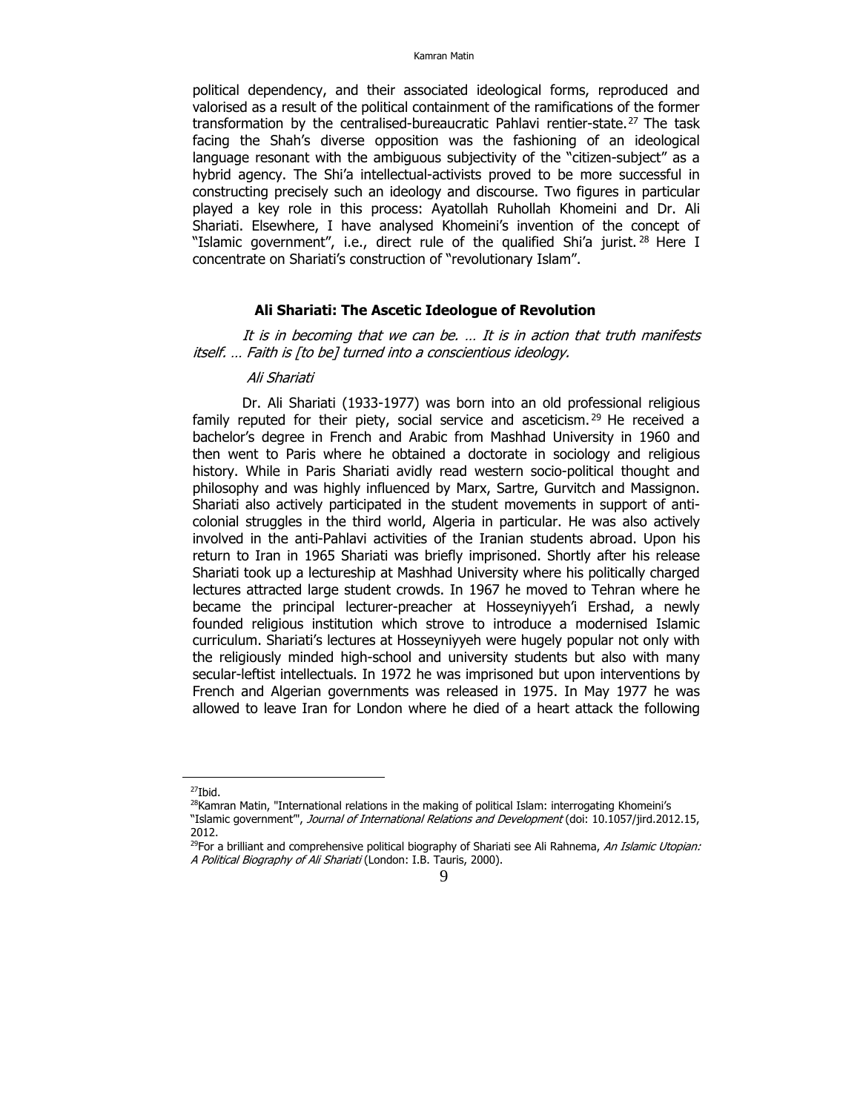political dependency, and their associated ideological forms, reproduced and valorised as a result of the political containment of the ramifications of the former transformation by the centralised-bureaucratic Pahlavi rentier-state.<sup>27</sup> The task facing the Shah's diverse opposition was the fashioning of an ideological language resonant with the ambiguous subjectivity of the "citizen-subject" as a hybrid agency. The Shi'a intellectual-activists proved to be more successful in constructing precisely such an ideology and discourse. Two figures in particular played a key role in this process: Ayatollah Ruhollah Khomeini and Dr. Ali Shariati. Elsewhere, I have analysed Khomeini's invention of the concept of "Islamic government", i.e., direct rule of the qualified Shi'a jurist.<sup>28</sup> Here I concentrate on Shariati's construction of "revolutionary Islam".

#### **Ali Shariati: The Ascetic Ideologue of Revolution**

It is in becoming that we can be. … It is in action that truth manifests itself. … Faith is [to be] turned into a conscientious ideology.

## Ali Shariati

Dr. Ali Shariati (1933-1977) was born into an old professional religious family reputed for their piety, social service and asceticism.<sup>29</sup> He received a bachelor's degree in French and Arabic from Mashhad University in 1960 and then went to Paris where he obtained a doctorate in sociology and religious history. While in Paris Shariati avidly read western socio-political thought and philosophy and was highly influenced by Marx, Sartre, Gurvitch and Massignon. Shariati also actively participated in the student movements in support of anticolonial struggles in the third world, Algeria in particular. He was also actively involved in the anti-Pahlavi activities of the Iranian students abroad. Upon his return to Iran in 1965 Shariati was briefly imprisoned. Shortly after his release Shariati took up a lectureship at Mashhad University where his politically charged lectures attracted large student crowds. In 1967 he moved to Tehran where he became the principal lecturer-preacher at Hosseyniyyeh'i Ershad, a newly founded religious institution which strove to introduce a modernised Islamic curriculum. Shariati's lectures at Hosseyniyyeh were hugely popular not only with the religiously minded high-school and university students but also with many secular-leftist intellectuals. In 1972 he was imprisoned but upon interventions by French and Algerian governments was released in 1975. In May 1977 he was allowed to leave Iran for London where he died of a heart attack the following

<sup>27</sup>Ibid.

<sup>&</sup>lt;sup>28</sup>Kamran Matin, "International relations in the making of political Islam: interrogating Khomeini's

<sup>&</sup>quot;Islamic government", Journal of International Relations and Development (doi: 10.1057/jird.2012.15, 2012.

<sup>&</sup>lt;sup>29</sup>For a brilliant and comprehensive political biography of Shariati see Ali Rahnema, An Islamic Utopian: A Political Biography of Ali Shariati (London: I.B. Tauris, 2000).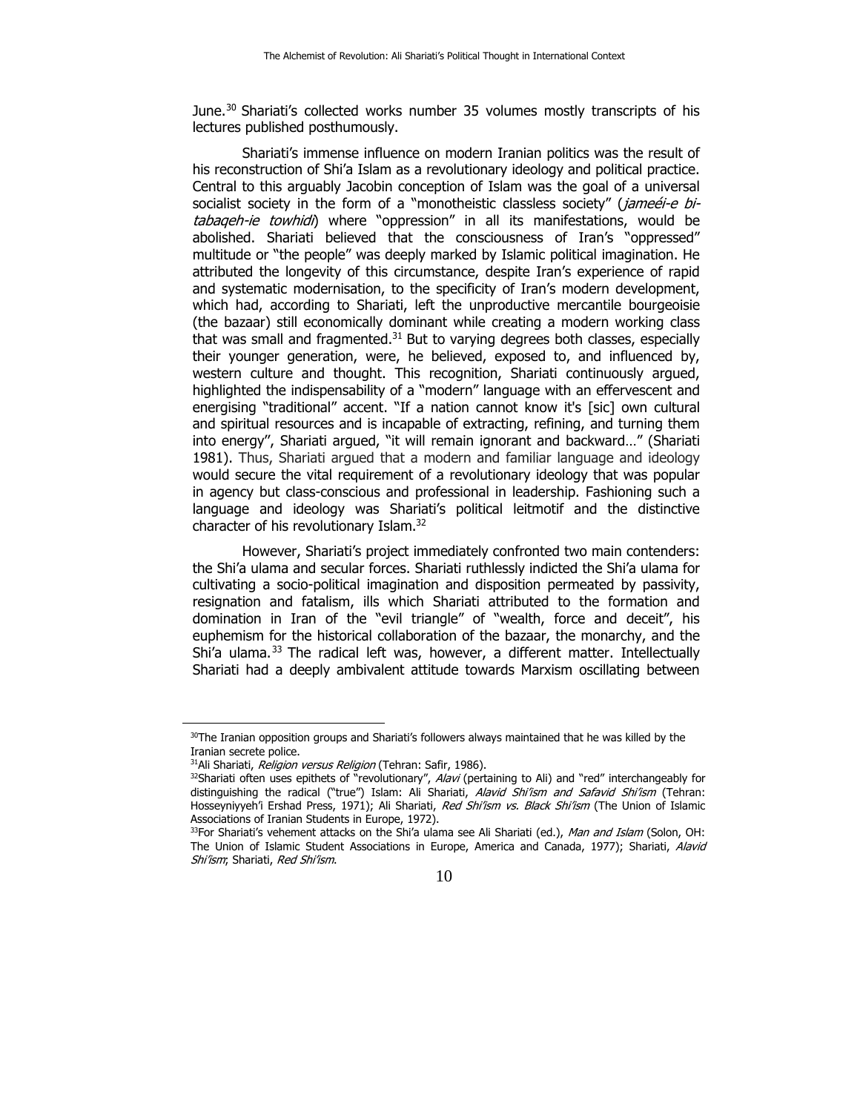June.<sup>30</sup> Shariati's collected works number 35 volumes mostly transcripts of his lectures published posthumously.

Shariati's immense influence on modern Iranian politics was the result of his reconstruction of Shi'a Islam as a revolutionary ideology and political practice. Central to this arguably Jacobin conception of Islam was the goal of a universal socialist society in the form of a "monotheistic classless society" (*jameéi-e bi*tabaqeh-ie towhidi) where "oppression" in all its manifestations, would be abolished. Shariati believed that the consciousness of Iran's "oppressed" multitude or "the people" was deeply marked by Islamic political imagination. He attributed the longevity of this circumstance, despite Iran's experience of rapid and systematic modernisation, to the specificity of Iran's modern development, which had, according to Shariati, left the unproductive mercantile bourgeoisie (the bazaar) still economically dominant while creating a modern working class that was small and fragmented. $31$  But to varying degrees both classes, especially their younger generation, were, he believed, exposed to, and influenced by, western culture and thought. This recognition, Shariati continuously argued, highlighted the indispensability of a "modern" language with an effervescent and energising "traditional" accent. "If a nation cannot know it's [sic] own cultural and spiritual resources and is incapable of extracting, refining, and turning them into energy'', Shariati argued, "it will remain ignorant and backward…" (Shariati 1981). Thus, Shariati argued that a modern and familiar language and ideology would secure the vital requirement of a revolutionary ideology that was popular in agency but class-conscious and professional in leadership. Fashioning such a language and ideology was Shariati's political leitmotif and the distinctive character of his revolutionary Islam.32

However, Shariati's project immediately confronted two main contenders: the Shi'a ulama and secular forces. Shariati ruthlessly indicted the Shi'a ulama for cultivating a socio-political imagination and disposition permeated by passivity, resignation and fatalism, ills which Shariati attributed to the formation and domination in Iran of the "evil triangle" of "wealth, force and deceit", his euphemism for the historical collaboration of the bazaar, the monarchy, and the Shi'a ulama.<sup>33</sup> The radical left was, however, a different matter. Intellectually Shariati had a deeply ambivalent attitude towards Marxism oscillating between

 $30$ The Iranian opposition groups and Shariati's followers always maintained that he was killed by the Iranian secrete police.<br><sup>31</sup>Ali Shariati, *Religion versus Religion* (Tehran: Safir, 1986).

<sup>&</sup>lt;sup>32</sup>Shariati often uses epithets of "revolutionary", Alavi (pertaining to Ali) and "red" interchangeably for distinguishing the radical ("true") Islam: Ali Shariati, Alavid Shi'ism and Safavid Shi'ism (Tehran: Hosseyniyyeh'i Ershad Press, 1971); Ali Shariati, Red Shi'ism vs. Black Shi'ism (The Union of Islamic Associations of Iranian Students in Europe, 1972).

<sup>&</sup>lt;sup>33</sup>For Shariati's vehement attacks on the Shi'a ulama see Ali Shariati (ed.), Man and Islam (Solon, OH: The Union of Islamic Student Associations in Europe, America and Canada, 1977); Shariati, Alavid Shi'ism; Shariati, Red Shi'ism.

<sup>10</sup>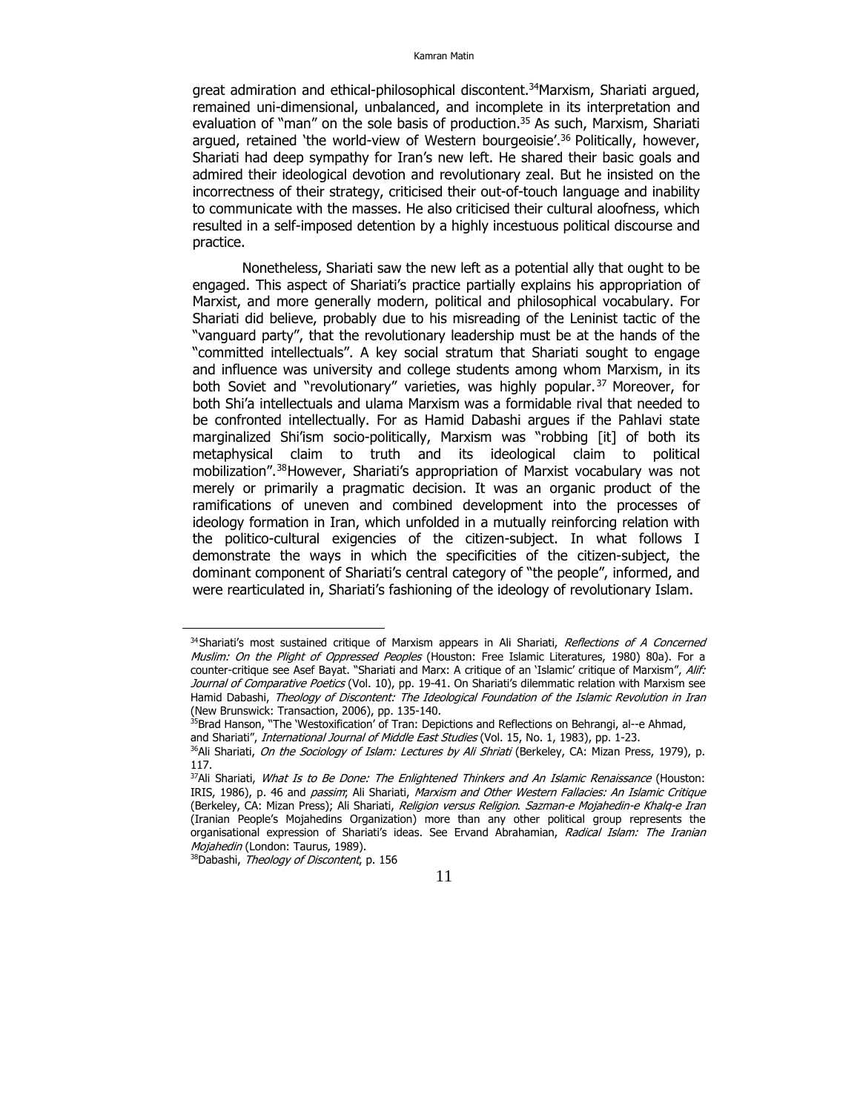great admiration and ethical-philosophical discontent.<sup>34</sup>Marxism, Shariati argued, remained uni-dimensional, unbalanced, and incomplete in its interpretation and evaluation of "man" on the sole basis of production.<sup>35</sup> As such, Marxism, Shariati argued, retained 'the world-view of Western bourgeoisie'.<sup>36</sup> Politically, however, Shariati had deep sympathy for Iran's new left. He shared their basic goals and admired their ideological devotion and revolutionary zeal. But he insisted on the incorrectness of their strategy, criticised their out-of-touch language and inability to communicate with the masses. He also criticised their cultural aloofness, which resulted in a self-imposed detention by a highly incestuous political discourse and practice.

Nonetheless, Shariati saw the new left as a potential ally that ought to be engaged. This aspect of Shariati's practice partially explains his appropriation of Marxist, and more generally modern, political and philosophical vocabulary. For Shariati did believe, probably due to his misreading of the Leninist tactic of the "vanguard party", that the revolutionary leadership must be at the hands of the "committed intellectuals". A key social stratum that Shariati sought to engage and influence was university and college students among whom Marxism, in its both Soviet and "revolutionary" varieties, was highly popular.<sup>37</sup> Moreover, for both Shi'a intellectuals and ulama Marxism was a formidable rival that needed to be confronted intellectually. For as Hamid Dabashi argues if the Pahlavi state marginalized Shi'ism socio-politically, Marxism was "robbing [it] of both its metaphysical claim to truth and its ideological claim to political mobilization".38However, Shariati's appropriation of Marxist vocabulary was not merely or primarily a pragmatic decision. It was an organic product of the ramifications of uneven and combined development into the processes of ideology formation in Iran, which unfolded in a mutually reinforcing relation with the politico-cultural exigencies of the citizen-subject. In what follows I demonstrate the ways in which the specificities of the citizen-subject, the dominant component of Shariati's central category of "the people", informed, and were rearticulated in, Shariati's fashioning of the ideology of revolutionary Islam.

<sup>&</sup>lt;sup>34</sup>Shariati's most sustained critique of Marxism appears in Ali Shariati, Reflections of A Concerned Muslim: On the Plight of Oppressed Peoples (Houston: Free Islamic Literatures, 1980) 80a). For a counter-critique see Asef Bayat. "Shariati and Marx: A critique of an 'Islamic' critique of Marxism", Alif: Journal of Comparative Poetics (Vol. 10), pp. 19-41. On Shariati's dilemmatic relation with Marxism see Hamid Dabashi, Theology of Discontent: The Ideological Foundation of the Islamic Revolution in Iran (New Brunswick: Transaction, 2006), pp. 135-140.

<sup>&</sup>lt;sup>35</sup>Brad Hanson, "The 'Westoxification' of Tran: Depictions and Reflections on Behrangi, al--e Ahmad,

and Shariati", *International Journal of Middle East Studies* (Vol. 15, No. 1, 1983), pp. 1-23. 36Ali Shariati, *On the Sociology of Islam: Lectures by Ali Shriati* (Berkeley, CA: Mizan Press, 1979), p.

<sup>117.</sup> 

<sup>&</sup>lt;sup>37</sup>Ali Shariati, *What Is to Be Done: The Enlightened Thinkers and An Islamic Renaissance* (Houston: IRIS, 1986), p. 46 and passim; Ali Shariati, Marxism and Other Western Fallacies: An Islamic Critique (Berkeley, CA: Mizan Press); Ali Shariati, Religion versus Religion. Sazman-e Mojahedin-e Khalg-e Iran (Iranian People's Mojahedins Organization) more than any other political group represents the organisational expression of Shariati's ideas. See Ervand Abrahamian, Radical Islam: The Iranian Mojahedin (London: Taurus, 1989).<br><sup>38</sup>Dabashi, *Theology of Discontent*, p. 156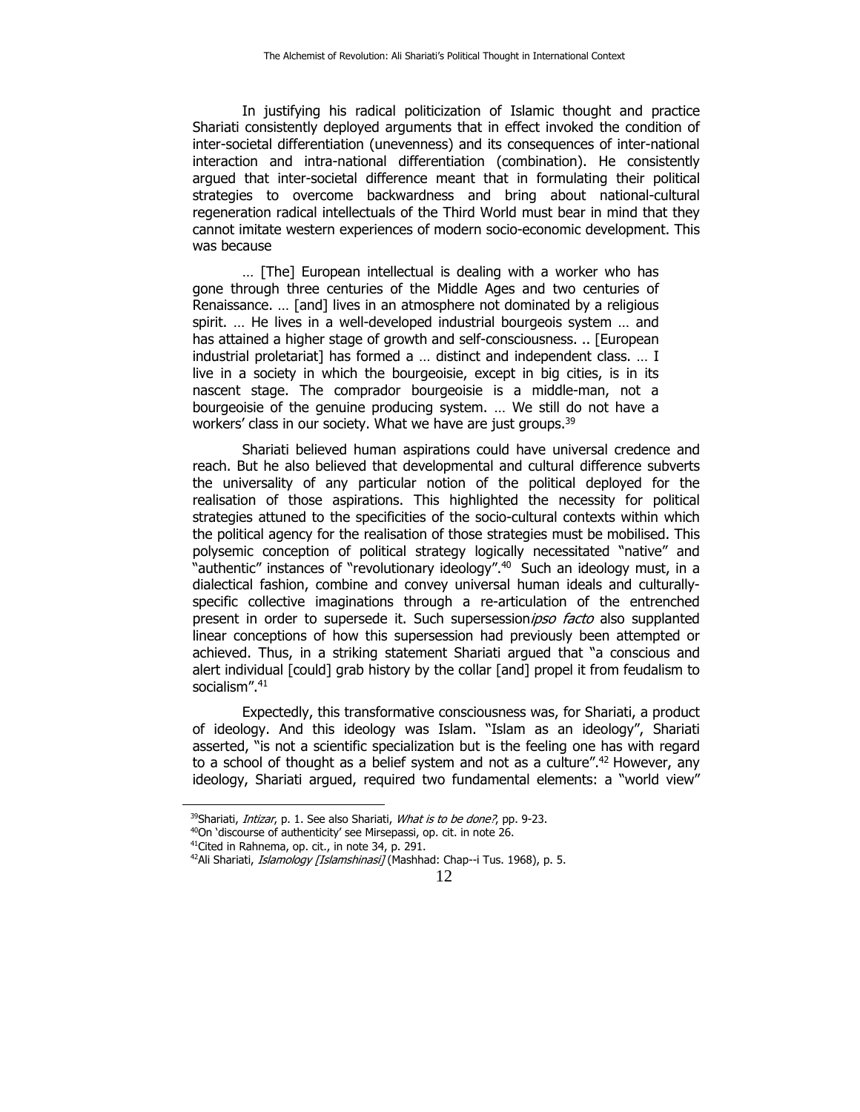In justifying his radical politicization of Islamic thought and practice Shariati consistently deployed arguments that in effect invoked the condition of inter-societal differentiation (unevenness) and its consequences of inter-national interaction and intra-national differentiation (combination). He consistently argued that inter-societal difference meant that in formulating their political strategies to overcome backwardness and bring about national-cultural regeneration radical intellectuals of the Third World must bear in mind that they cannot imitate western experiences of modern socio-economic development. This was because

… [The] European intellectual is dealing with a worker who has gone through three centuries of the Middle Ages and two centuries of Renaissance. … [and] lives in an atmosphere not dominated by a religious spirit. … He lives in a well-developed industrial bourgeois system … and has attained a higher stage of growth and self-consciousness. .. [European industrial proletariat] has formed a … distinct and independent class. … I live in a society in which the bourgeoisie, except in big cities, is in its nascent stage. The comprador bourgeoisie is a middle-man, not a bourgeoisie of the genuine producing system. … We still do not have a workers' class in our society. What we have are just groups.<sup>39</sup>

Shariati believed human aspirations could have universal credence and reach. But he also believed that developmental and cultural difference subverts the universality of any particular notion of the political deployed for the realisation of those aspirations. This highlighted the necessity for political strategies attuned to the specificities of the socio-cultural contexts within which the political agency for the realisation of those strategies must be mobilised. This polysemic conception of political strategy logically necessitated "native" and "authentic" instances of "revolutionary ideology".40 Such an ideology must, in a dialectical fashion, combine and convey universal human ideals and culturallyspecific collective imaginations through a re-articulation of the entrenched present in order to supersede it. Such supersessionipso facto also supplanted linear conceptions of how this supersession had previously been attempted or achieved. Thus, in a striking statement Shariati argued that "a conscious and alert individual [could] grab history by the collar [and] propel it from feudalism to socialism".<sup>41</sup>

Expectedly, this transformative consciousness was, for Shariati, a product of ideology. And this ideology was Islam. "Islam as an ideology", Shariati asserted, "is not a scientific specialization but is the feeling one has with regard to a school of thought as a belief system and not as a culture".<sup>42</sup> However, any ideology, Shariati argued, required two fundamental elements: a "world view"

<sup>&</sup>lt;sup>39</sup>Shariati, *Intizar*, p. 1. See also Shariati, *What is to be done?*, pp. 9-23.  $^{40}$ On 'discourse of authenticity' see Mirsepassi, op. cit. in note 26.

<sup>&</sup>lt;sup>41</sup>Cited in Rahnema, op. cit., in note 34, p. 291.

<sup>&</sup>lt;sup>42</sup>Ali Shariati, *Islamology [Islamshinasi]* (Mashhad: Chap--i Tus. 1968), p. 5.

<sup>12</sup>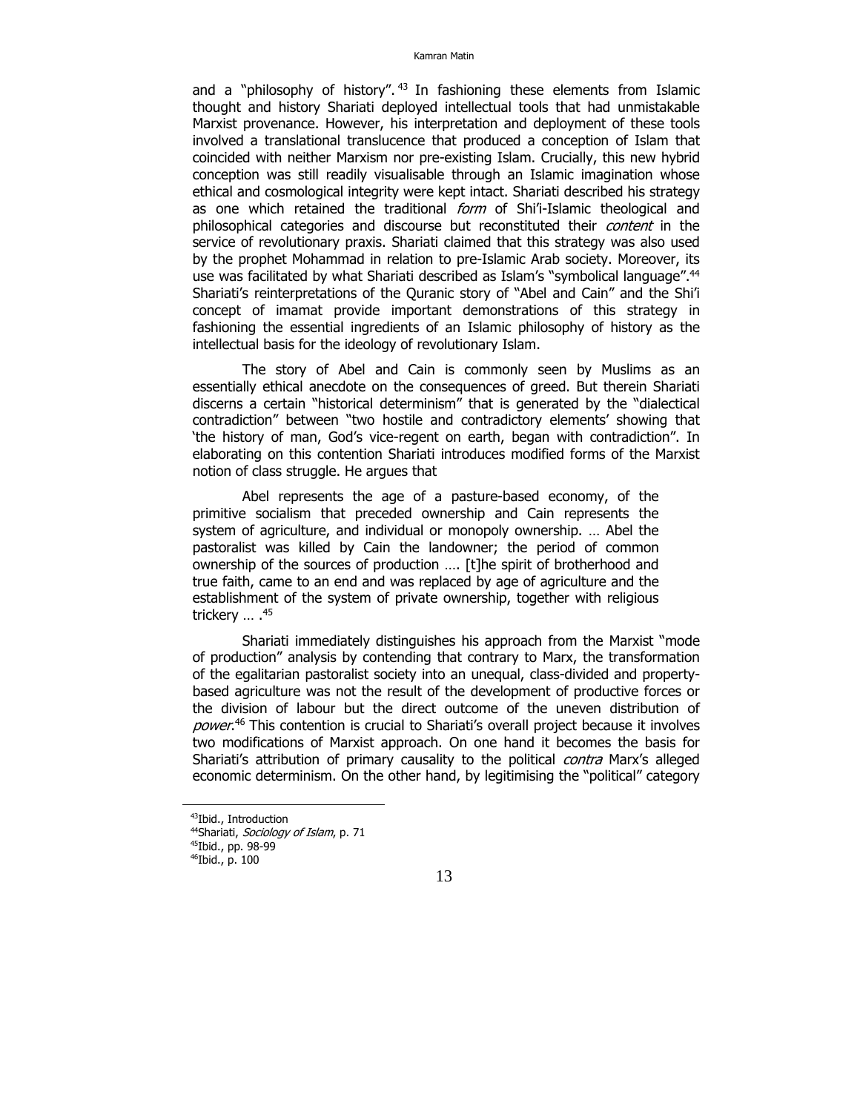and a "philosophy of history".  $43$  In fashioning these elements from Islamic thought and history Shariati deployed intellectual tools that had unmistakable Marxist provenance. However, his interpretation and deployment of these tools involved a translational translucence that produced a conception of Islam that coincided with neither Marxism nor pre-existing Islam. Crucially, this new hybrid conception was still readily visualisable through an Islamic imagination whose ethical and cosmological integrity were kept intact. Shariati described his strategy as one which retained the traditional form of Shi'i-Islamic theological and philosophical categories and discourse but reconstituted their *content* in the service of revolutionary praxis. Shariati claimed that this strategy was also used by the prophet Mohammad in relation to pre-Islamic Arab society. Moreover, its use was facilitated by what Shariati described as Islam's "symbolical language".44 Shariati's reinterpretations of the Quranic story of "Abel and Cain" and the Shi'i concept of imamat provide important demonstrations of this strategy in fashioning the essential ingredients of an Islamic philosophy of history as the intellectual basis for the ideology of revolutionary Islam.

The story of Abel and Cain is commonly seen by Muslims as an essentially ethical anecdote on the consequences of greed. But therein Shariati discerns a certain "historical determinism" that is generated by the "dialectical contradiction" between "two hostile and contradictory elements' showing that 'the history of man, God's vice-regent on earth, began with contradiction". In elaborating on this contention Shariati introduces modified forms of the Marxist notion of class struggle. He argues that

Abel represents the age of a pasture-based economy, of the primitive socialism that preceded ownership and Cain represents the system of agriculture, and individual or monopoly ownership. … Abel the pastoralist was killed by Cain the landowner; the period of common ownership of the sources of production …. [t]he spirit of brotherhood and true faith, came to an end and was replaced by age of agriculture and the establishment of the system of private ownership, together with religious trickery ... .<sup>45</sup>

Shariati immediately distinguishes his approach from the Marxist "mode of production" analysis by contending that contrary to Marx, the transformation of the egalitarian pastoralist society into an unequal, class-divided and propertybased agriculture was not the result of the development of productive forces or the division of labour but the direct outcome of the uneven distribution of power.<sup>46</sup> This contention is crucial to Shariati's overall project because it involves two modifications of Marxist approach. On one hand it becomes the basis for Shariati's attribution of primary causality to the political *contra* Marx's alleged economic determinism. On the other hand, by legitimising the "political" category

<sup>43</sup>Ibid., Introduction

<sup>&</sup>lt;sup>44</sup>Shariati, *Sociology of Islam*, p. 71<br><sup>45</sup>Ibid., pp. 98-99

<sup>46</sup>Ibid., p. 100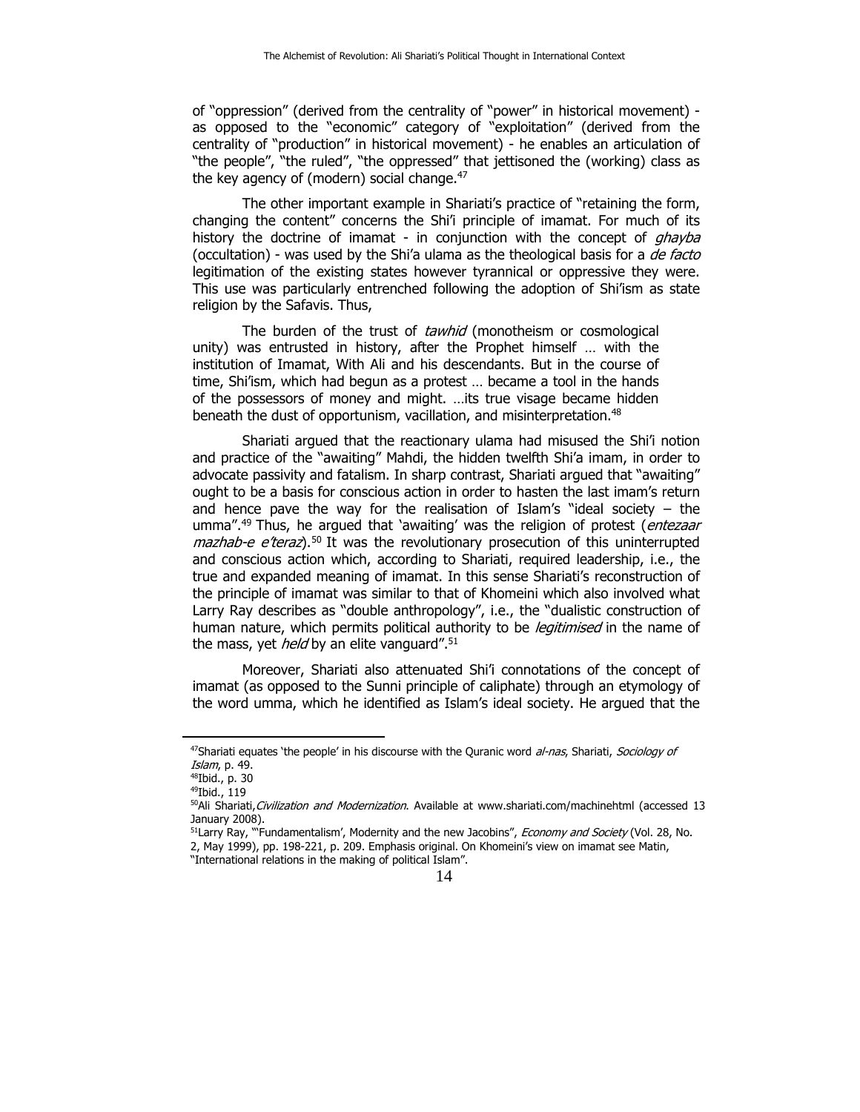of "oppression" (derived from the centrality of "power" in historical movement) as opposed to the "economic" category of "exploitation" (derived from the centrality of "production" in historical movement) - he enables an articulation of "the people", "the ruled", "the oppressed" that jettisoned the (working) class as the key agency of (modern) social change. $47$ 

The other important example in Shariati's practice of "retaining the form, changing the content" concerns the Shi'i principle of imamat. For much of its history the doctrine of imamat - in conjunction with the concept of *qhayba* (occultation) - was used by the Shi'a ulama as the theological basis for a de facto legitimation of the existing states however tyrannical or oppressive they were. This use was particularly entrenched following the adoption of Shi'ism as state religion by the Safavis. Thus,

The burden of the trust of tawhid (monotheism or cosmological unity) was entrusted in history, after the Prophet himself … with the institution of Imamat, With Ali and his descendants. But in the course of time, Shi'ism, which had begun as a protest ... became a tool in the hands of the possessors of money and might. …its true visage became hidden beneath the dust of opportunism, vacillation, and misinterpretation.<sup>48</sup>

Shariati argued that the reactionary ulama had misused the Shi'i notion and practice of the "awaiting" Mahdi, the hidden twelfth Shi'a imam, in order to advocate passivity and fatalism. In sharp contrast, Shariati argued that "awaiting" ought to be a basis for conscious action in order to hasten the last imam's return and hence pave the way for the realisation of Islam's "ideal society  $-$  the umma".<sup>49</sup> Thus, he argued that 'awaiting' was the religion of protest (entezaar  $maxhab-e$  e'teraz).<sup>50</sup> It was the revolutionary prosecution of this uninterrupted and conscious action which, according to Shariati, required leadership, i.e., the true and expanded meaning of imamat. In this sense Shariati's reconstruction of the principle of imamat was similar to that of Khomeini which also involved what Larry Ray describes as "double anthropology", i.e., the "dualistic construction of human nature, which permits political authority to be *legitimised* in the name of the mass, yet *held* by an elite vanguard".<sup>51</sup>

Moreover, Shariati also attenuated Shi'i connotations of the concept of imamat (as opposed to the Sunni principle of caliphate) through an etymology of the word umma, which he identified as Islam's ideal society. He argued that the

<sup>&</sup>lt;sup>47</sup>Shariati equates 'the people' in his discourse with the Quranic word *al-nas*, Shariati, Sociology of *Islam*, p. 49.<br><sup>48</sup>Ibid., p. 30

<sup>49</sup>Ibid., 119

<sup>&</sup>lt;sup>50</sup>Ali Shariati, Civilization and Modernization. Available at www.shariati.com/machinehtml (accessed 13 January 2008).

<sup>&</sup>lt;sup>51</sup>Larry Ray, "'Fundamentalism', Modernity and the new Jacobins", *Economy and Society* (Vol. 28, No. 2, May 1999), pp. 198-221, p. 209. Emphasis original. On Khomeini's view on imamat see Matin, "International relations in the making of political Islam".

<sup>14</sup>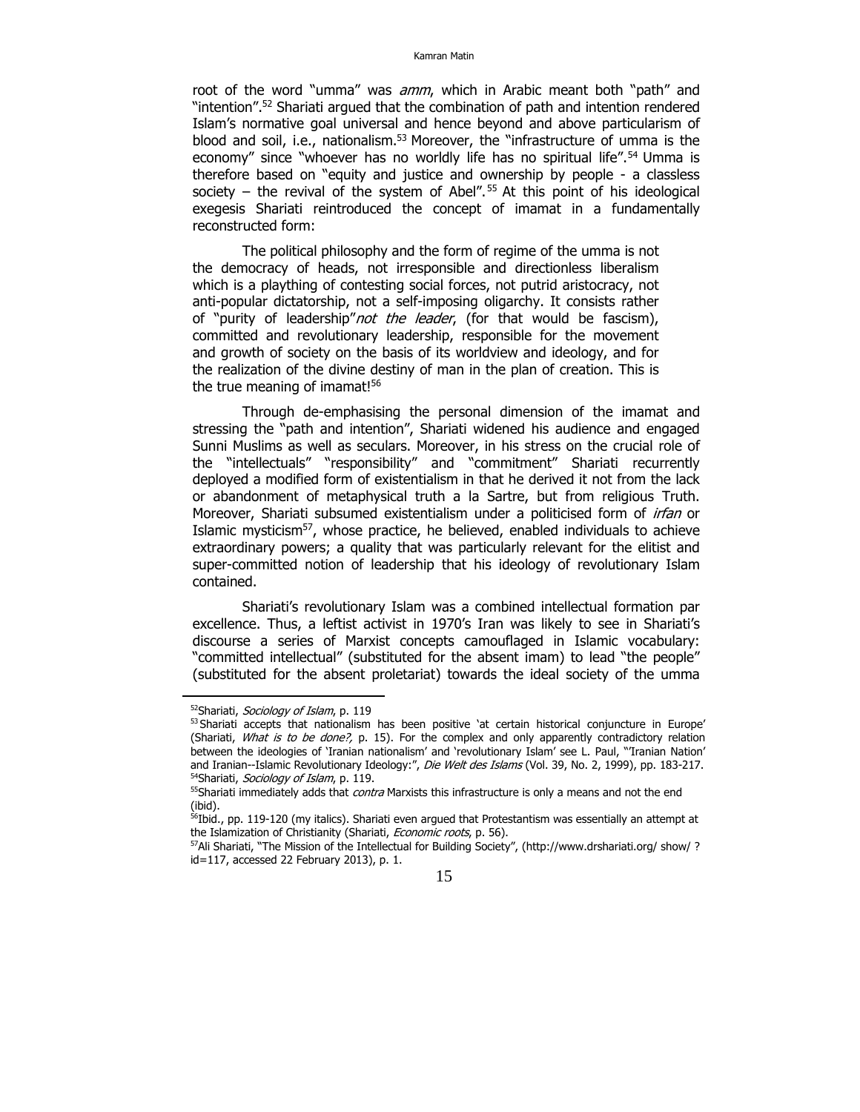root of the word "umma" was *amm*, which in Arabic meant both "path" and "intention".52 Shariati argued that the combination of path and intention rendered Islam's normative goal universal and hence beyond and above particularism of blood and soil, i.e., nationalism.<sup>53</sup> Moreover, the "infrastructure of umma is the economy" since "whoever has no worldly life has no spiritual life".<sup>54</sup> Umma is therefore based on "equity and justice and ownership by people - a classless society – the revival of the system of Abel".<sup>55</sup> At this point of his ideological exegesis Shariati reintroduced the concept of imamat in a fundamentally reconstructed form:

The political philosophy and the form of regime of the umma is not the democracy of heads, not irresponsible and directionless liberalism which is a plaything of contesting social forces, not putrid aristocracy, not anti-popular dictatorship, not a self-imposing oligarchy. It consists rather of "purity of leadership" not the leader, (for that would be fascism), committed and revolutionary leadership, responsible for the movement and growth of society on the basis of its worldview and ideology, and for the realization of the divine destiny of man in the plan of creation. This is the true meaning of imamat!<sup>56</sup>

Through de-emphasising the personal dimension of the imamat and stressing the "path and intention", Shariati widened his audience and engaged Sunni Muslims as well as seculars. Moreover, in his stress on the crucial role of the "intellectuals" "responsibility" and "commitment" Shariati recurrently deployed a modified form of existentialism in that he derived it not from the lack or abandonment of metaphysical truth a la Sartre, but from religious Truth. Moreover, Shariati subsumed existentialism under a politicised form of *irfan* or Islamic mysticism<sup>57</sup>, whose practice, he believed, enabled individuals to achieve extraordinary powers; a quality that was particularly relevant for the elitist and super-committed notion of leadership that his ideology of revolutionary Islam contained.

Shariati's revolutionary Islam was a combined intellectual formation par excellence. Thus, a leftist activist in 1970's Iran was likely to see in Shariati's discourse a series of Marxist concepts camouflaged in Islamic vocabulary: "committed intellectual" (substituted for the absent imam) to lead "the people" (substituted for the absent proletariat) towards the ideal society of the umma

<sup>&</sup>lt;sup>52</sup>Shariati, Sociology of Islam, p. 119<br><sup>53</sup> Shariati accepts that nationalism has been positive 'at certain historical conjuncture in Europe' (Shariati, What is to be done?, p. 15). For the complex and only apparently contradictory relation between the ideologies of 'Iranian nationalism' and 'revolutionary Islam' see L. Paul, "'Iranian Nation' and Iranian-Islamic Revolutionary Ideology:", *Die Welt des Islams* (Vol. 39, No. 2, 1999), pp. 183-217.

<sup>&</sup>lt;sup>54</sup>Shariati, *Sociology of Islam*, p. 119.<br><sup>55</sup>Shariati immediately adds that *contra* Marxists this infrastructure is only a means and not the end (ibid).

 $56$ Ibid., pp. 119-120 (my italics). Shariati even argued that Protestantism was essentially an attempt at the Islamization of Christianity (Shariati, *Economic roots*, p. 56).<br><sup>57</sup>Ali Shariati, "The Mission of the Intellectual for Building Society", (http://www.drshariati.org/ show/ ?

id=117, accessed 22 February 2013), p. 1.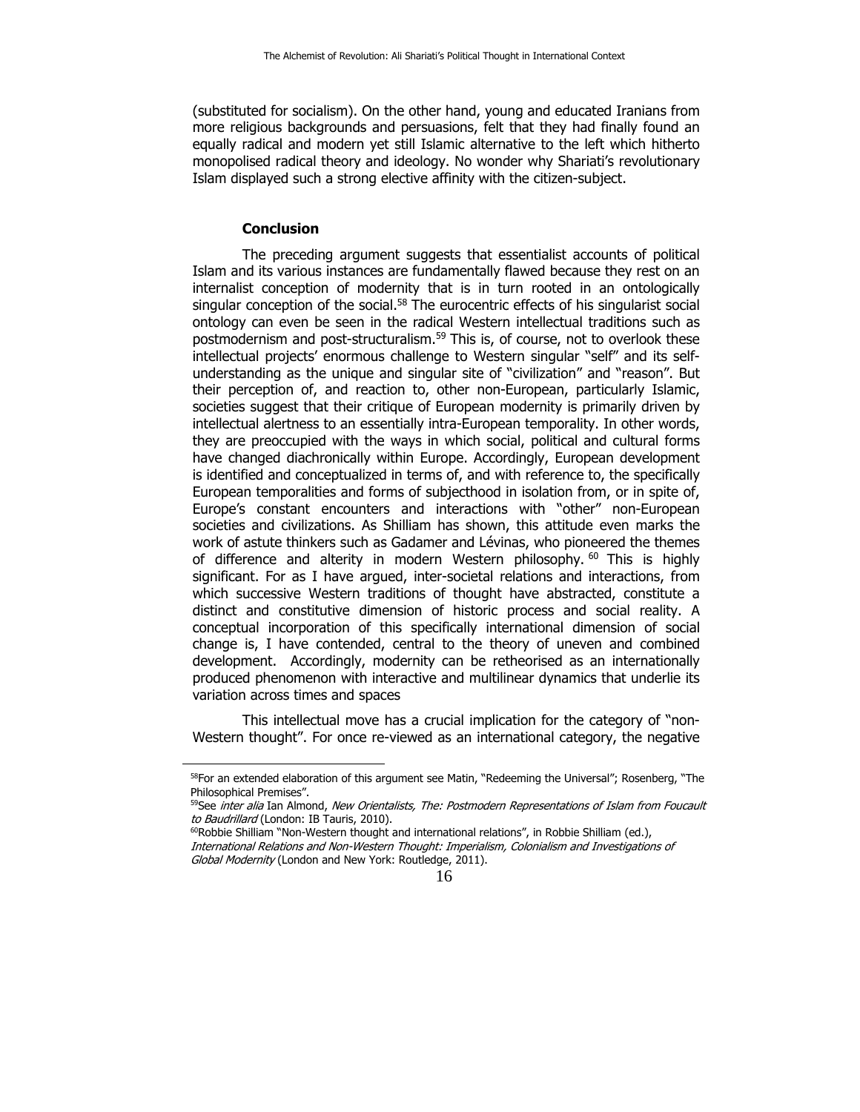(substituted for socialism). On the other hand, young and educated Iranians from more religious backgrounds and persuasions, felt that they had finally found an equally radical and modern yet still Islamic alternative to the left which hitherto monopolised radical theory and ideology. No wonder why Shariati's revolutionary Islam displayed such a strong elective affinity with the citizen-subject.

#### **Conclusion**

The preceding argument suggests that essentialist accounts of political Islam and its various instances are fundamentally flawed because they rest on an internalist conception of modernity that is in turn rooted in an ontologically singular conception of the social. $58$  The eurocentric effects of his singularist social ontology can even be seen in the radical Western intellectual traditions such as postmodernism and post-structuralism.<sup>59</sup> This is, of course, not to overlook these intellectual projects' enormous challenge to Western singular "self" and its selfunderstanding as the unique and singular site of "civilization" and "reason". But their perception of, and reaction to, other non-European, particularly Islamic, societies suggest that their critique of European modernity is primarily driven by intellectual alertness to an essentially intra-European temporality. In other words, they are preoccupied with the ways in which social, political and cultural forms have changed diachronically within Europe. Accordingly, European development is identified and conceptualized in terms of, and with reference to, the specifically European temporalities and forms of subjecthood in isolation from, or in spite of, Europe's constant encounters and interactions with "other" non-European societies and civilizations. As Shilliam has shown, this attitude even marks the work of astute thinkers such as Gadamer and Lévinas, who pioneered the themes of difference and alterity in modern Western philosophy.  $60$  This is highly significant. For as I have argued, inter-societal relations and interactions, from which successive Western traditions of thought have abstracted, constitute a distinct and constitutive dimension of historic process and social reality. A conceptual incorporation of this specifically international dimension of social change is, I have contended, central to the theory of uneven and combined development. Accordingly, modernity can be retheorised as an internationally produced phenomenon with interactive and multilinear dynamics that underlie its variation across times and spaces

This intellectual move has a crucial implication for the category of "non-Western thought". For once re-viewed as an international category, the negative

<sup>&</sup>lt;sup>58</sup>For an extended elaboration of this argument see Matin, "Redeeming the Universal"; Rosenberg, "The Philosophical Premises".

<sup>&</sup>lt;sup>59</sup>See inter alia Ian Almond, New Orientalists, The: Postmodern Representations of Islam from Foucault to Baudrillard (London: IB Tauris, 2010).<br><sup>60</sup>Robbie Shilliam "Non-Western thought and international relations", in Robbie Shilliam (ed.),

International Relations and Non-Western Thought: Imperialism, Colonialism and Investigations of Global Modernity (London and New York: Routledge, 2011).